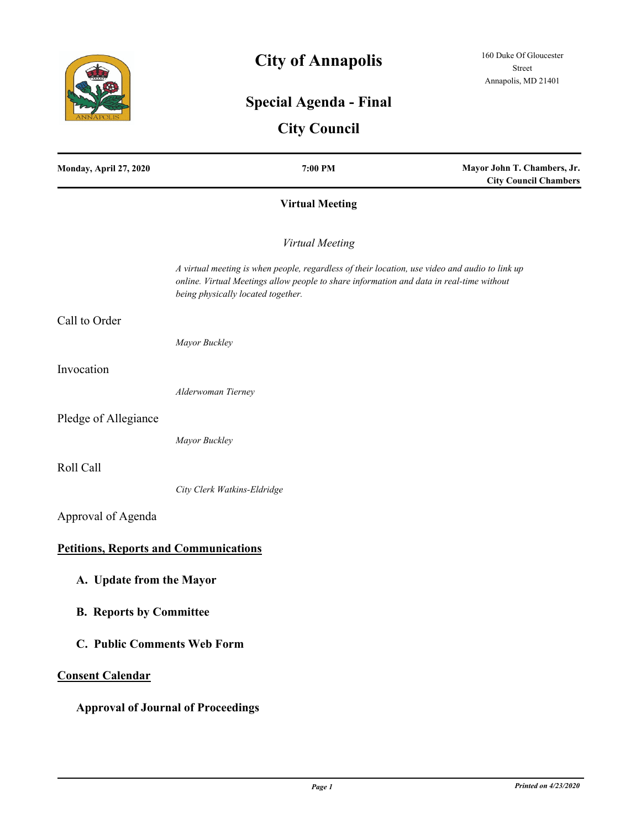

# **City of Annapolis**

## **Special Agenda - Final**

## **City Council**

| Monday, April 27, 2020                       | 7:00 PM                                                                                                                                                                                                                          | Mayor John T. Chambers, Jr.<br><b>City Council Chambers</b> |
|----------------------------------------------|----------------------------------------------------------------------------------------------------------------------------------------------------------------------------------------------------------------------------------|-------------------------------------------------------------|
|                                              | <b>Virtual Meeting</b>                                                                                                                                                                                                           |                                                             |
|                                              | Virtual Meeting                                                                                                                                                                                                                  |                                                             |
|                                              | A virtual meeting is when people, regardless of their location, use video and audio to link up<br>online. Virtual Meetings allow people to share information and data in real-time without<br>being physically located together. |                                                             |
| Call to Order                                |                                                                                                                                                                                                                                  |                                                             |
|                                              | Mayor Buckley                                                                                                                                                                                                                    |                                                             |
| Invocation                                   |                                                                                                                                                                                                                                  |                                                             |
|                                              | Alderwoman Tierney                                                                                                                                                                                                               |                                                             |
| Pledge of Allegiance                         |                                                                                                                                                                                                                                  |                                                             |
|                                              | Mayor Buckley                                                                                                                                                                                                                    |                                                             |
| Roll Call                                    |                                                                                                                                                                                                                                  |                                                             |
|                                              | City Clerk Watkins-Eldridge                                                                                                                                                                                                      |                                                             |
| Approval of Agenda                           |                                                                                                                                                                                                                                  |                                                             |
| <b>Petitions, Reports and Communications</b> |                                                                                                                                                                                                                                  |                                                             |
| A. Update from the Mayor                     |                                                                                                                                                                                                                                  |                                                             |
| <b>B.</b> Reports by Committee               |                                                                                                                                                                                                                                  |                                                             |
| C. Public Comments Web Form                  |                                                                                                                                                                                                                                  |                                                             |
| <b>Consent Calendar</b>                      |                                                                                                                                                                                                                                  |                                                             |
| <b>Approval of Journal of Proceedings</b>    |                                                                                                                                                                                                                                  |                                                             |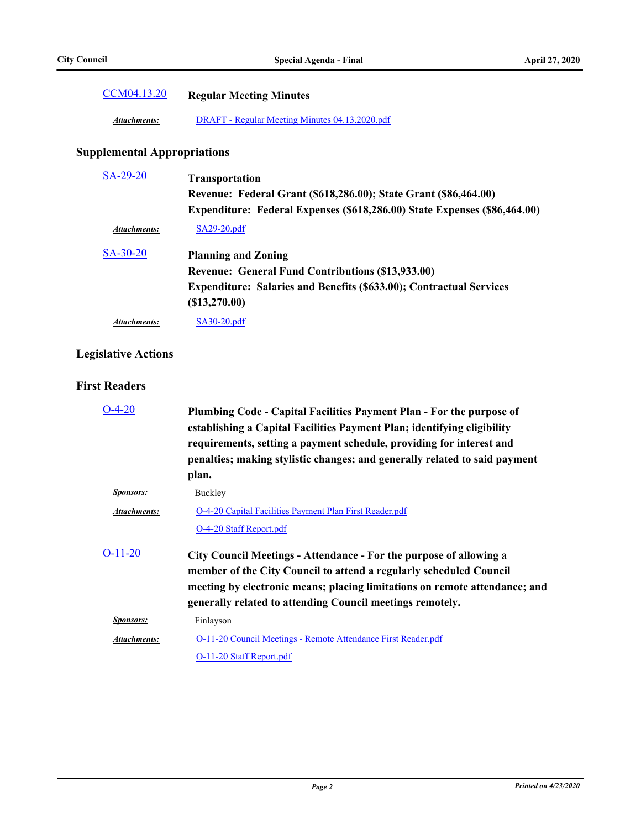| CCM04.13.20 | <b>Regular Meeting Minutes</b> |
|-------------|--------------------------------|
|-------------|--------------------------------|

*Attachments:* [DRAFT - Regular Meeting Minutes 04.13.2020.pdf](http://annapolismd.legistar.com/gateway.aspx?M=F&ID=0d1047c2-6456-4601-a6c5-aa9bce5195f5.pdf)

## **Supplemental Appropriations**

| SA-29-20            | <b>Transportation</b>                                                      |
|---------------------|----------------------------------------------------------------------------|
|                     | Revenue: Federal Grant (\$618,286.00); State Grant (\$86,464.00)           |
|                     | Expenditure: Federal Expenses (\$618,286.00) State Expenses (\$86,464.00)  |
| <b>Attachments:</b> | $SA29-20.pdf$                                                              |
| $SA-30-20$          | <b>Planning and Zoning</b>                                                 |
|                     | <b>Revenue: General Fund Contributions (\$13,933.00)</b>                   |
|                     | <b>Expenditure: Salaries and Benefits (\$633.00); Contractual Services</b> |
|                     | (S13, 270.00)                                                              |
| Attachments:        | $SA30-20.pdf$                                                              |

## **Legislative Actions**

#### **First Readers**

| Plumbing Code - Capital Facilities Payment Plan - For the purpose of<br>establishing a Capital Facilities Payment Plan; identifying eligibility<br>requirements, setting a payment schedule, providing for interest and<br>penalties; making stylistic changes; and generally related to said payment<br>plan. |
|----------------------------------------------------------------------------------------------------------------------------------------------------------------------------------------------------------------------------------------------------------------------------------------------------------------|
| Buckley                                                                                                                                                                                                                                                                                                        |
| O-4-20 Capital Facilities Payment Plan First Reader.pdf                                                                                                                                                                                                                                                        |
| O-4-20 Staff Report.pdf                                                                                                                                                                                                                                                                                        |
| City Council Meetings - Attendance - For the purpose of allowing a<br>member of the City Council to attend a regularly scheduled Council<br>meeting by electronic means; placing limitations on remote attendance; and<br>generally related to attending Council meetings remotely.                            |
| Finlayson                                                                                                                                                                                                                                                                                                      |
| O-11-20 Council Meetings - Remote Attendance First Reader.pdf                                                                                                                                                                                                                                                  |
| O-11-20 Staff Report.pdf                                                                                                                                                                                                                                                                                       |
|                                                                                                                                                                                                                                                                                                                |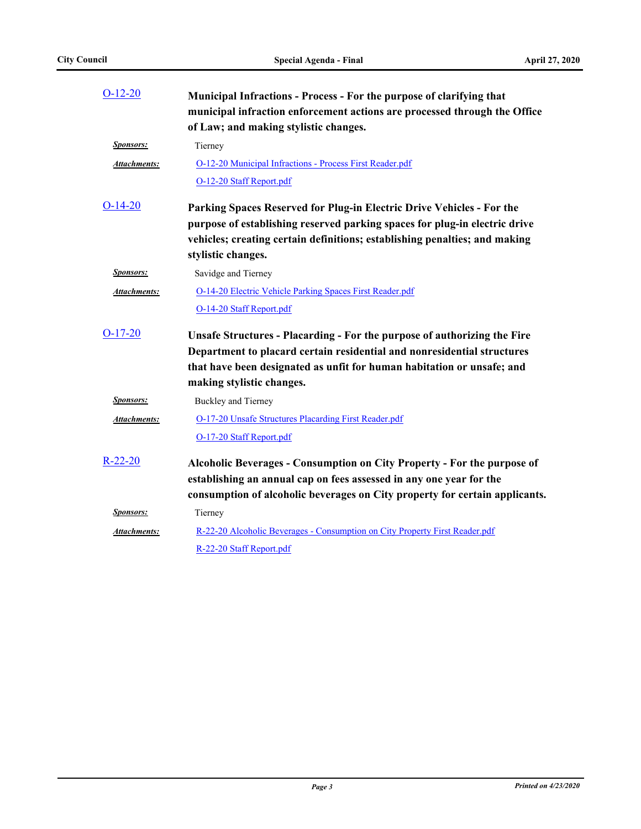| $O-12-20$           | Municipal Infractions - Process - For the purpose of clarifying that<br>municipal infraction enforcement actions are processed through the Office<br>of Law; and making stylistic changes.                                                                 |
|---------------------|------------------------------------------------------------------------------------------------------------------------------------------------------------------------------------------------------------------------------------------------------------|
| <b>Sponsors:</b>    | Tierney                                                                                                                                                                                                                                                    |
| Attachments:        | O-12-20 Municipal Infractions - Process First Reader.pdf                                                                                                                                                                                                   |
|                     | O-12-20 Staff Report.pdf                                                                                                                                                                                                                                   |
| $O-14-20$           | Parking Spaces Reserved for Plug-in Electric Drive Vehicles - For the<br>purpose of establishing reserved parking spaces for plug-in electric drive<br>vehicles; creating certain definitions; establishing penalties; and making<br>stylistic changes.    |
| <b>Sponsors:</b>    | Savidge and Tierney                                                                                                                                                                                                                                        |
| <b>Attachments:</b> | O-14-20 Electric Vehicle Parking Spaces First Reader.pdf                                                                                                                                                                                                   |
|                     | O-14-20 Staff Report.pdf                                                                                                                                                                                                                                   |
| $O-17-20$           | Unsafe Structures - Placarding - For the purpose of authorizing the Fire<br>Department to placard certain residential and nonresidential structures<br>that have been designated as unfit for human habitation or unsafe; and<br>making stylistic changes. |
| <b>Sponsors:</b>    | Buckley and Tierney                                                                                                                                                                                                                                        |
| Attachments:        | O-17-20 Unsafe Structures Placarding First Reader.pdf                                                                                                                                                                                                      |
|                     | O-17-20 Staff Report.pdf                                                                                                                                                                                                                                   |
| $R-22-20$           | Alcoholic Beverages - Consumption on City Property - For the purpose of<br>establishing an annual cap on fees assessed in any one year for the<br>consumption of alcoholic beverages on City property for certain applicants.                              |
| <b>Sponsors:</b>    | Tierney                                                                                                                                                                                                                                                    |
| Attachments:        | R-22-20 Alcoholic Beverages - Consumption on City Property First Reader.pdf                                                                                                                                                                                |
|                     | R-22-20 Staff Report.pdf                                                                                                                                                                                                                                   |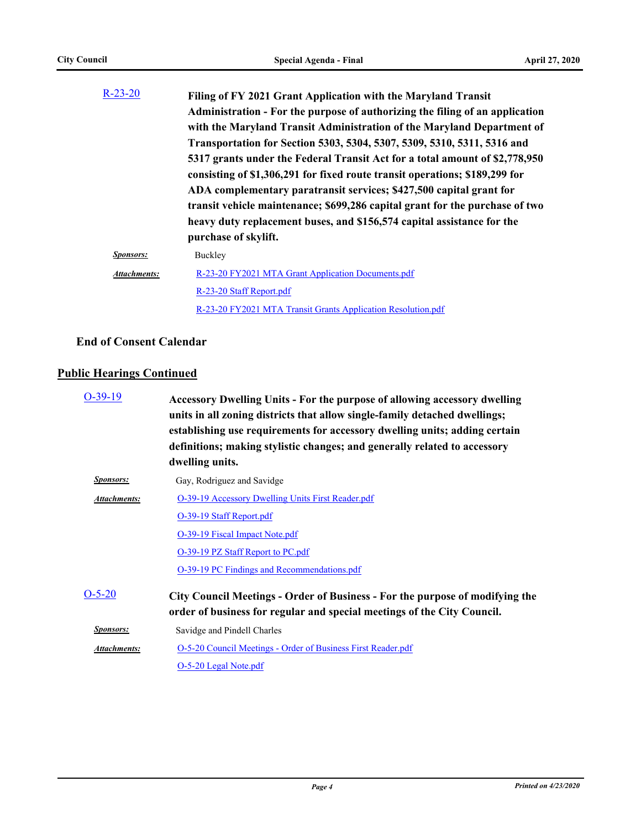| $R-23-20$           | Filing of FY 2021 Grant Application with the Maryland Transit<br>Administration - For the purpose of authorizing the filing of an application<br>with the Maryland Transit Administration of the Maryland Department of<br>Transportation for Section 5303, 5304, 5307, 5309, 5310, 5311, 5316 and<br>5317 grants under the Federal Transit Act for a total amount of \$2,778,950<br>consisting of \$1,306,291 for fixed route transit operations; \$189,299 for<br>ADA complementary paratransit services; \$427,500 capital grant for<br>transit vehicle maintenance; \$699,286 capital grant for the purchase of two<br>heavy duty replacement buses, and \$156,574 capital assistance for the<br>purchase of skylift. |
|---------------------|---------------------------------------------------------------------------------------------------------------------------------------------------------------------------------------------------------------------------------------------------------------------------------------------------------------------------------------------------------------------------------------------------------------------------------------------------------------------------------------------------------------------------------------------------------------------------------------------------------------------------------------------------------------------------------------------------------------------------|
| <i>Sponsors:</i>    | Buckley                                                                                                                                                                                                                                                                                                                                                                                                                                                                                                                                                                                                                                                                                                                   |
| <b>Attachments:</b> | R-23-20 FY2021 MTA Grant Application Documents.pdf                                                                                                                                                                                                                                                                                                                                                                                                                                                                                                                                                                                                                                                                        |
|                     | R-23-20 Staff Report.pdf                                                                                                                                                                                                                                                                                                                                                                                                                                                                                                                                                                                                                                                                                                  |
|                     | R-23-20 FY2021 MTA Transit Grants Application Resolution.pdf                                                                                                                                                                                                                                                                                                                                                                                                                                                                                                                                                                                                                                                              |

## **End of Consent Calendar**

#### **Public Hearings Continued**

| $O-39-19$           | Accessory Dwelling Units - For the purpose of allowing accessory dwelling<br>units in all zoning districts that allow single-family detached dwellings;<br>establishing use requirements for accessory dwelling units; adding certain<br>definitions; making stylistic changes; and generally related to accessory<br>dwelling units. |
|---------------------|---------------------------------------------------------------------------------------------------------------------------------------------------------------------------------------------------------------------------------------------------------------------------------------------------------------------------------------|
| <b>Sponsors:</b>    | Gay, Rodriguez and Savidge                                                                                                                                                                                                                                                                                                            |
| <b>Attachments:</b> | <b>O-39-19 Accessory Dwelling Units First Reader.pdf</b>                                                                                                                                                                                                                                                                              |
|                     | O-39-19 Staff Report.pdf                                                                                                                                                                                                                                                                                                              |
|                     | O-39-19 Fiscal Impact Note.pdf                                                                                                                                                                                                                                                                                                        |
|                     | O-39-19 PZ Staff Report to PC.pdf                                                                                                                                                                                                                                                                                                     |
|                     | O-39-19 PC Findings and Recommendations.pdf                                                                                                                                                                                                                                                                                           |
| $O-5-20$            | <b>City Council Meetings - Order of Business - For the purpose of modifying the</b><br>order of business for regular and special meetings of the City Council.                                                                                                                                                                        |
| <b>Sponsors:</b>    | Savidge and Pindell Charles                                                                                                                                                                                                                                                                                                           |
| Attachments:        | O-5-20 Council Meetings - Order of Business First Reader.pdf                                                                                                                                                                                                                                                                          |
|                     | O-5-20 Legal Note.pdf                                                                                                                                                                                                                                                                                                                 |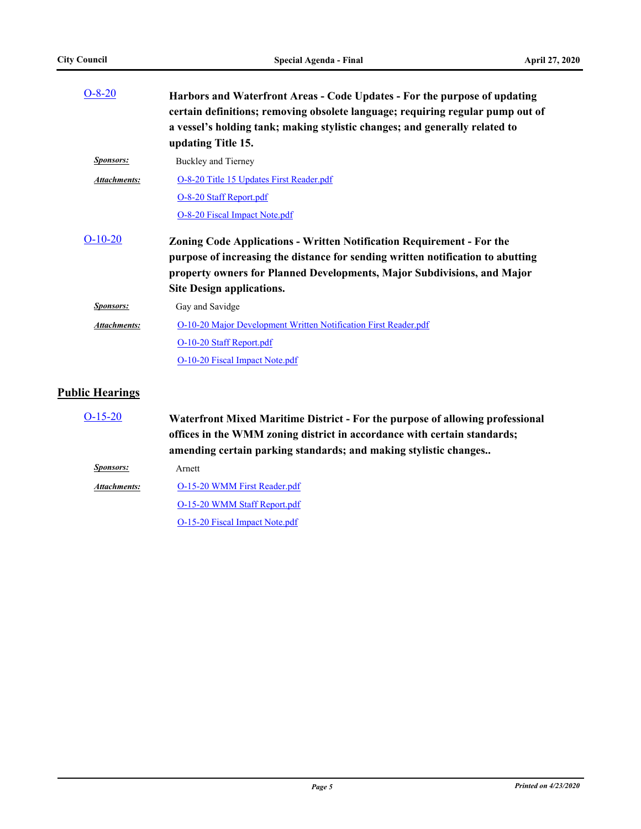| $O-8-20$               | Harbors and Waterfront Areas - Code Updates - For the purpose of updating<br>certain definitions; removing obsolete language; requiring regular pump out of<br>a vessel's holding tank; making stylistic changes; and generally related to<br>updating Title 15.               |
|------------------------|--------------------------------------------------------------------------------------------------------------------------------------------------------------------------------------------------------------------------------------------------------------------------------|
| <b>Sponsors:</b>       | Buckley and Tierney                                                                                                                                                                                                                                                            |
| <b>Attachments:</b>    | O-8-20 Title 15 Updates First Reader.pdf                                                                                                                                                                                                                                       |
|                        | O-8-20 Staff Report.pdf                                                                                                                                                                                                                                                        |
|                        | O-8-20 Fiscal Impact Note.pdf                                                                                                                                                                                                                                                  |
| $O-10-20$              | <b>Zoning Code Applications - Written Notification Requirement - For the</b><br>purpose of increasing the distance for sending written notification to abutting<br>property owners for Planned Developments, Major Subdivisions, and Major<br><b>Site Design applications.</b> |
| Sponsors:              | Gay and Savidge                                                                                                                                                                                                                                                                |
| Attachments:           | O-10-20 Major Development Written Notification First Reader.pdf                                                                                                                                                                                                                |
|                        | O-10-20 Staff Report.pdf                                                                                                                                                                                                                                                       |
|                        | O-10-20 Fiscal Impact Note.pdf                                                                                                                                                                                                                                                 |
| <b>Public Hearings</b> |                                                                                                                                                                                                                                                                                |
| $\bigcap$ 15 $\bigcap$ | $\mathbf{W}^{T}$ , $\mathbf{C}$ , $\mathbf{W}^{T}$ , $\mathbf{W}^{T}$ , $\mathbf{C}$ , $\mathbf{C}$ , $\mathbf{C}$ , $\mathbf{C}$ , $\mathbf{C}$ , $\mathbf{C}$ , $\mathbf{C}$                                                                                                 |

| $O-15-20$        | Waterfront Mixed Maritime District - For the purpose of allowing professional<br>offices in the WMM zoning district in accordance with certain standards;<br>amending certain parking standards; and making stylistic changes |
|------------------|-------------------------------------------------------------------------------------------------------------------------------------------------------------------------------------------------------------------------------|
| <i>Sponsors:</i> | Arnett                                                                                                                                                                                                                        |
| Attachments:     | O-15-20 WMM First Reader.pdf                                                                                                                                                                                                  |
|                  | O-15-20 WMM Staff Report.pdf                                                                                                                                                                                                  |
|                  | O-15-20 Fiscal Impact Note.pdf                                                                                                                                                                                                |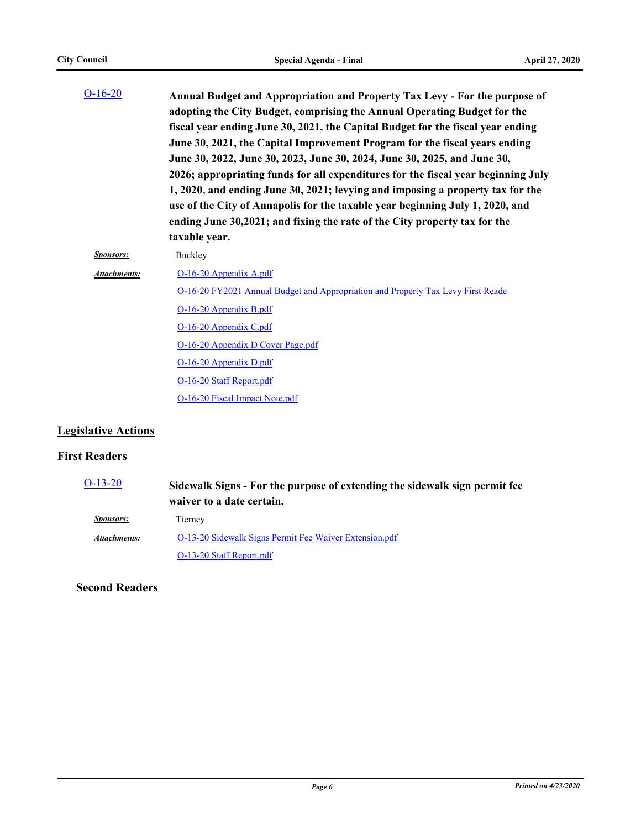| $O-16-20$        | Annual Budget and Appropriation and Property Tax Levy - For the purpose of<br>adopting the City Budget, comprising the Annual Operating Budget for the<br>fiscal year ending June 30, 2021, the Capital Budget for the fiscal year ending<br>June 30, 2021, the Capital Improvement Program for the fiscal years ending<br>June 30, 2022, June 30, 2023, June 30, 2024, June 30, 2025, and June 30,<br>2026; appropriating funds for all expenditures for the fiscal year beginning July<br>1, 2020, and ending June 30, 2021; levying and imposing a property tax for the<br>use of the City of Annapolis for the taxable year beginning July 1, 2020, and<br>ending June 30,2021; and fixing the rate of the City property tax for the<br>taxable year. |
|------------------|-----------------------------------------------------------------------------------------------------------------------------------------------------------------------------------------------------------------------------------------------------------------------------------------------------------------------------------------------------------------------------------------------------------------------------------------------------------------------------------------------------------------------------------------------------------------------------------------------------------------------------------------------------------------------------------------------------------------------------------------------------------|
| <b>Sponsors:</b> | Buckley                                                                                                                                                                                                                                                                                                                                                                                                                                                                                                                                                                                                                                                                                                                                                   |
| Attachments:     | O-16-20 Appendix A.pdf                                                                                                                                                                                                                                                                                                                                                                                                                                                                                                                                                                                                                                                                                                                                    |
|                  | O-16-20 FY2021 Annual Budget and Appropriation and Property Tax Levy First Reade                                                                                                                                                                                                                                                                                                                                                                                                                                                                                                                                                                                                                                                                          |
|                  | O-16-20 Appendix B.pdf                                                                                                                                                                                                                                                                                                                                                                                                                                                                                                                                                                                                                                                                                                                                    |
|                  | O-16-20 Appendix C.pdf                                                                                                                                                                                                                                                                                                                                                                                                                                                                                                                                                                                                                                                                                                                                    |
|                  | O-16-20 Appendix D Cover Page.pdf                                                                                                                                                                                                                                                                                                                                                                                                                                                                                                                                                                                                                                                                                                                         |
|                  | O-16-20 Appendix D.pdf                                                                                                                                                                                                                                                                                                                                                                                                                                                                                                                                                                                                                                                                                                                                    |
|                  | O-16-20 Staff Report.pdf                                                                                                                                                                                                                                                                                                                                                                                                                                                                                                                                                                                                                                                                                                                                  |
|                  | O-16-20 Fiscal Impact Note.pdf                                                                                                                                                                                                                                                                                                                                                                                                                                                                                                                                                                                                                                                                                                                            |

#### **Legislative Actions**

#### **First Readers**

| $O-13-20$           | Sidewalk Signs - For the purpose of extending the sidewalk sign permit fee<br>waiver to a date certain. |
|---------------------|---------------------------------------------------------------------------------------------------------|
| <i>Sponsors:</i>    | Tierney                                                                                                 |
| <b>Attachments:</b> | O-13-20 Sidewalk Signs Permit Fee Waiver Extension.pdf                                                  |
|                     | O-13-20 Staff Report.pdf                                                                                |

#### **Second Readers**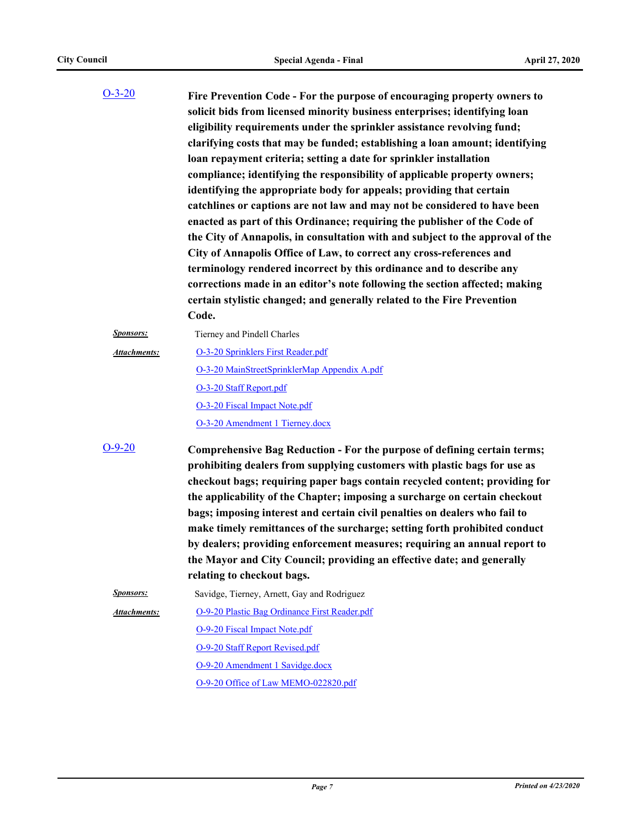| $O-3-20$            | Fire Prevention Code - For the purpose of encouraging property owners to<br>solicit bids from licensed minority business enterprises; identifying loan<br>eligibility requirements under the sprinkler assistance revolving fund;<br>clarifying costs that may be funded; establishing a loan amount; identifying<br>loan repayment criteria; setting a date for sprinkler installation<br>compliance; identifying the responsibility of applicable property owners;<br>identifying the appropriate body for appeals; providing that certain<br>catchlines or captions are not law and may not be considered to have been<br>enacted as part of this Ordinance; requiring the publisher of the Code of<br>the City of Annapolis, in consultation with and subject to the approval of the<br>City of Annapolis Office of Law, to correct any cross-references and<br>terminology rendered incorrect by this ordinance and to describe any<br>corrections made in an editor's note following the section affected; making<br>certain stylistic changed; and generally related to the Fire Prevention<br>Code. |
|---------------------|-------------------------------------------------------------------------------------------------------------------------------------------------------------------------------------------------------------------------------------------------------------------------------------------------------------------------------------------------------------------------------------------------------------------------------------------------------------------------------------------------------------------------------------------------------------------------------------------------------------------------------------------------------------------------------------------------------------------------------------------------------------------------------------------------------------------------------------------------------------------------------------------------------------------------------------------------------------------------------------------------------------------------------------------------------------------------------------------------------------|
| <b>Sponsors:</b>    | Tierney and Pindell Charles                                                                                                                                                                                                                                                                                                                                                                                                                                                                                                                                                                                                                                                                                                                                                                                                                                                                                                                                                                                                                                                                                 |
| <b>Attachments:</b> | O-3-20 Sprinklers First Reader.pdf<br>O-3-20 MainStreetSprinklerMap Appendix A.pdf<br>O-3-20 Staff Report.pdf<br>O-3-20 Fiscal Impact Note.pdf<br>O-3-20 Amendment 1 Tierney.docx                                                                                                                                                                                                                                                                                                                                                                                                                                                                                                                                                                                                                                                                                                                                                                                                                                                                                                                           |
| $O-9-20$            | Comprehensive Bag Reduction - For the purpose of defining certain terms;<br>prohibiting dealers from supplying customers with plastic bags for use as<br>checkout bags; requiring paper bags contain recycled content; providing for<br>the applicability of the Chapter; imposing a surcharge on certain checkout<br>bags; imposing interest and certain civil penalties on dealers who fail to<br>make timely remittances of the surcharge; setting forth prohibited conduct<br>by dealers; providing enforcement measures; requiring an annual report to<br>the Mayor and City Council; providing an effective date; and generally<br>relating to checkout bags.                                                                                                                                                                                                                                                                                                                                                                                                                                         |
| <b>Sponsors:</b>    | Savidge, Tierney, Arnett, Gay and Rodriguez                                                                                                                                                                                                                                                                                                                                                                                                                                                                                                                                                                                                                                                                                                                                                                                                                                                                                                                                                                                                                                                                 |
| Attachments:        | O-9-20 Plastic Bag Ordinance First Reader.pdf                                                                                                                                                                                                                                                                                                                                                                                                                                                                                                                                                                                                                                                                                                                                                                                                                                                                                                                                                                                                                                                               |
|                     | <b>O-9-20 Fiscal Impact Note.pdf</b>                                                                                                                                                                                                                                                                                                                                                                                                                                                                                                                                                                                                                                                                                                                                                                                                                                                                                                                                                                                                                                                                        |
|                     | O-9-20 Staff Report Revised.pdf                                                                                                                                                                                                                                                                                                                                                                                                                                                                                                                                                                                                                                                                                                                                                                                                                                                                                                                                                                                                                                                                             |
|                     | O-9-20 Amendment 1 Savidge.docx                                                                                                                                                                                                                                                                                                                                                                                                                                                                                                                                                                                                                                                                                                                                                                                                                                                                                                                                                                                                                                                                             |
|                     | O-9-20 Office of Law MEMO-022820.pdf                                                                                                                                                                                                                                                                                                                                                                                                                                                                                                                                                                                                                                                                                                                                                                                                                                                                                                                                                                                                                                                                        |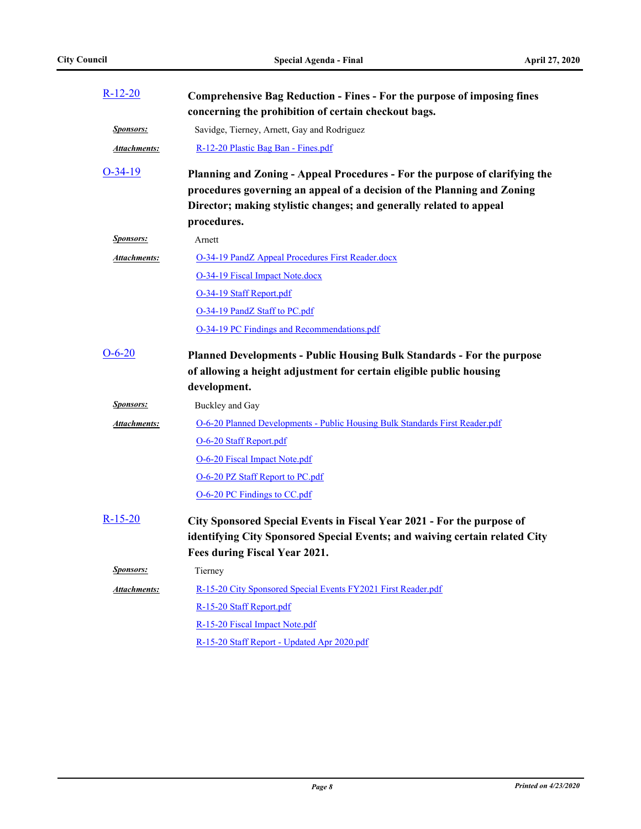| $R-12-20$           | Comprehensive Bag Reduction - Fines - For the purpose of imposing fines<br>concerning the prohibition of certain checkout bags.                                                                                                              |
|---------------------|----------------------------------------------------------------------------------------------------------------------------------------------------------------------------------------------------------------------------------------------|
| <b>Sponsors:</b>    | Savidge, Tierney, Arnett, Gay and Rodriguez                                                                                                                                                                                                  |
| <b>Attachments:</b> | R-12-20 Plastic Bag Ban - Fines.pdf                                                                                                                                                                                                          |
| $O-34-19$           | Planning and Zoning - Appeal Procedures - For the purpose of clarifying the<br>procedures governing an appeal of a decision of the Planning and Zoning<br>Director; making stylistic changes; and generally related to appeal<br>procedures. |
| <b>Sponsors:</b>    | Arnett                                                                                                                                                                                                                                       |
| <b>Attachments:</b> | <b>O-34-19 PandZ Appeal Procedures First Reader.docx</b>                                                                                                                                                                                     |
|                     | O-34-19 Fiscal Impact Note.docx                                                                                                                                                                                                              |
|                     | O-34-19 Staff Report.pdf                                                                                                                                                                                                                     |
|                     | O-34-19 PandZ Staff to PC.pdf                                                                                                                                                                                                                |
|                     | O-34-19 PC Findings and Recommendations.pdf                                                                                                                                                                                                  |
| 0-6-20              | Planned Developments - Public Housing Bulk Standards - For the purpose<br>of allowing a height adjustment for certain eligible public housing<br>development.                                                                                |
| <b>Sponsors:</b>    | Buckley and Gay                                                                                                                                                                                                                              |
| Attachments:        | O-6-20 Planned Developments - Public Housing Bulk Standards First Reader.pdf                                                                                                                                                                 |
|                     | O-6-20 Staff Report.pdf                                                                                                                                                                                                                      |
|                     | O-6-20 Fiscal Impact Note.pdf                                                                                                                                                                                                                |
|                     | O-6-20 PZ Staff Report to PC.pdf                                                                                                                                                                                                             |
|                     | O-6-20 PC Findings to CC.pdf                                                                                                                                                                                                                 |
| R-15-20             | City Sponsored Special Events in Fiscal Year 2021 - For the purpose of<br>identifying City Sponsored Special Events; and waiving certain related City<br>Fees during Fiscal Year 2021.                                                       |
| <u>Sponsors:</u>    | Tierney                                                                                                                                                                                                                                      |
| Attachments:        | R-15-20 City Sponsored Special Events FY2021 First Reader.pdf                                                                                                                                                                                |
|                     | R-15-20 Staff Report.pdf                                                                                                                                                                                                                     |
|                     | R-15-20 Fiscal Impact Note.pdf                                                                                                                                                                                                               |
|                     | R-15-20 Staff Report - Updated Apr 2020.pdf                                                                                                                                                                                                  |
|                     |                                                                                                                                                                                                                                              |